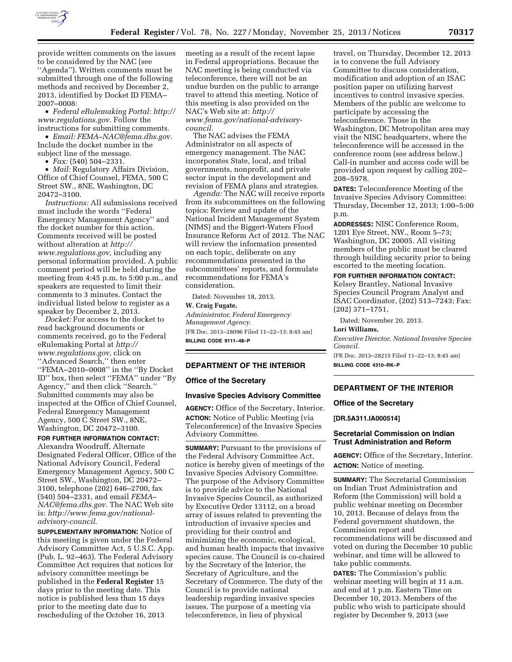

provide written comments on the issues to be considered by the NAC (see ''Agenda''). Written comments must be submitted through one of the following methods and received by December 2, 2013, identified by Docket ID FEMA– 2007–0008:

• *Federal eRulemaking Portal: [http://](http://www.regulations.gov)  [www.regulations.gov.](http://www.regulations.gov)* Follow the instructions for submitting comments.

• *Email: [FEMA–NAC@fema.dhs.gov.](mailto:FEMA-NAC@fema.dhs.gov)*  Include the docket number in the subject line of the message.

• *Fax:* (540) 504–2331.

• *Mail:* Regulatory Affairs Division, Office of Chief Counsel, FEMA, 500 C Street SW., 8NE, Washington, DC 20472–3100.

*Instructions:* All submissions received must include the words ''Federal Emergency Management Agency'' and the docket number for this action. Comments received will be posted without alteration at *[http://](http://www.regulations.gov) [www.regulations.gov,](http://www.regulations.gov)* including any personal information provided. A public comment period will be held during the meeting from 4:45 p.m. to 5:00 p.m., and speakers are requested to limit their comments to 3 minutes. Contact the individual listed below to register as a speaker by December 2, 2013.

*Docket:* For access to the docket to read background documents or comments received, go to the Federal eRulemaking Portal at *[http://](http://www.regulations.gov) [www.regulations.gov,](http://www.regulations.gov)* click on ''Advanced Search,'' then enter ''FEMA–2010–0008'' in the ''By Docket ID'' box, then select ''FEMA'' under ''By Agency,'' and then click ''Search.'' Submitted comments may also be inspected at the Office of Chief Counsel, Federal Emergency Management Agency, 500 C Street SW., 8NE, Washington, DC 20472–3100.

# **FOR FURTHER INFORMATION CONTACT:**

Alexandra Woodruff, Alternate Designated Federal Officer, Office of the National Advisory Council, Federal Emergency Management Agency, 500 C Street SW., Washington, DC 20472– 3100, telephone (202) 646–2700, fax (540) 504–2331, and email *[FEMA–](mailto:FEMA-NAC@fema.dhs.gov) [NAC@fema.dhs.gov.](mailto:FEMA-NAC@fema.dhs.gov)* The NAC Web site is: *[http://www.fema.gov/national](http://www.fema.gov/national-advisory-council)[advisory-council.](http://www.fema.gov/national-advisory-council)* 

**SUPPLEMENTARY INFORMATION:** Notice of this meeting is given under the Federal Advisory Committee Act, 5 U.S.C. App. (Pub. L. 92–463). The Federal Advisory Committee Act requires that notices for advisory committee meetings be published in the **Federal Register** 15 days prior to the meeting date. This notice is published less than 15 days prior to the meeting date due to rescheduling of the October 16, 2013

meeting as a result of the recent lapse in Federal appropriations. Because the NAC meeting is being conducted via teleconference, there will not be an undue burden on the public to arrange travel to attend this meeting. Notice of this meeting is also provided on the NAC's Web site at: *[http://](http://www.fema.gov/national-advisory-council) [www.fema.gov/national-advisory](http://www.fema.gov/national-advisory-council)council.* 

The NAC advises the FEMA Administrator on all aspects of emergency management. The NAC incorporates State, local, and tribal governments, nonprofit, and private sector input in the development and revision of FEMA plans and strategies.

*Agenda:* The NAC will receive reports from its subcommittees on the following topics: Review and update of the National Incident Management System (NIMS) and the Biggert-Waters Flood Insurance Reform Act of 2012. The NAC will review the information presented on each topic, deliberate on any recommendations presented in the subcommittees' reports, and formulate recommendations for FEMA's consideration.

Dated: November 18, 2013.

#### **W. Craig Fugate,**

*Administrator, Federal Emergency Management Agency.*  [FR Doc. 2013–28096 Filed 11–22–13; 8:45 am] **BILLING CODE 9111–48–P** 

#### **DEPARTMENT OF THE INTERIOR**

# **Office of the Secretary**

#### **Invasive Species Advisory Committee**

**AGENCY:** Office of the Secretary, Interior. **ACTION:** Notice of Public Meeting (via Teleconference) of the Invasive Species Advisory Committee.

**SUMMARY:** Pursuant to the provisions of the Federal Advisory Committee Act, notice is hereby given of meetings of the Invasive Species Advisory Committee. The purpose of the Advisory Committee is to provide advice to the National Invasive Species Council, as authorized by Executive Order 13112, on a broad array of issues related to preventing the introduction of invasive species and providing for their control and minimizing the economic, ecological, and human health impacts that invasive species cause. The Council is co-chaired by the Secretary of the Interior, the Secretary of Agriculture, and the Secretary of Commerce. The duty of the Council is to provide national leadership regarding invasive species issues. The purpose of a meeting via teleconference, in lieu of physical

travel, on Thursday, December 12, 2013 is to convene the full Advisory Committee to discuss consideration, modification and adoption of an ISAC position paper on utilizing harvest incentives to control invasive species. Members of the public are welcome to participate by accessing the teleconference. Those in the Washington, DC Metropolitan area may visit the NISC headquarters, where the teleconference will be accessed in the conference room (see address below.) Call-in number and access code will be provided upon request by calling 202– 208–5978.

**DATES:** Teleconference Meeting of the Invasive Species Advisory Committee: Thursday, December 12, 2013; 1:00–5:00 p.m.

**ADDRESSES:** NISC Conference Room, 1201 Eye Street, NW., Room 5–73; Washington, DC 20005. All visiting members of the public must be cleared through building security prior to being escorted to the meeting location.

### **FOR FURTHER INFORMATION CONTACT:**

Kelsey Brantley, National Invasive Species Council Program Analyst and ISAC Coordinator, (202) 513–7243; Fax: (202) 371–1751,

Dated: November 20, 2013.

# **Lori Williams,**

*Executive Director, National Invasive Species Council.* 

[FR Doc. 2013–28215 Filed 11–22–13; 8:45 am] **BILLING CODE 4310–RK–P** 

### **DEPARTMENT OF THE INTERIOR**

### **Office of the Secretary**

## **[DR.5A311.IA000514]**

#### **Secretarial Commission on Indian Trust Administration and Reform**

**AGENCY:** Office of the Secretary, Interior. **ACTION:** Notice of meeting.

**SUMMARY:** The Secretarial Commission on Indian Trust Administration and Reform (the Commission) will hold a public webinar meeting on December 10, 2013. Because of delays from the Federal government shutdown, the Commission report and recommendations will be discussed and voted on during the December 10 public webinar, and time will be allowed to take public comments.

**DATES:** The Commission's public webinar meeting will begin at 11 a.m. and end at 1 p.m. Eastern Time on December 10, 2013. Members of the public who wish to participate should register by December 9, 2013 (see